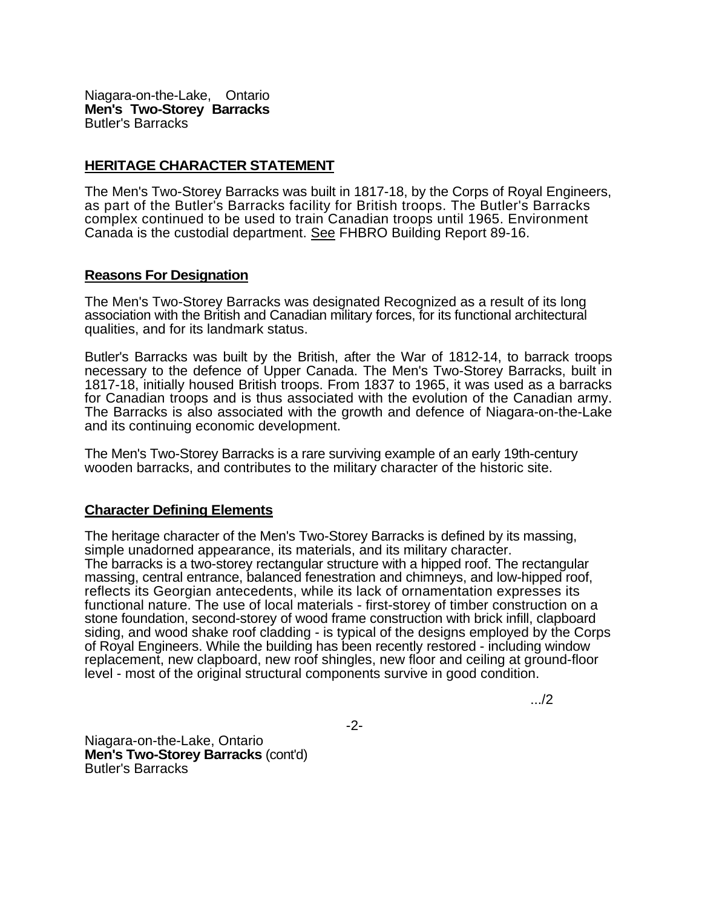Niagara-on-the-Lake, Ontario **Men's Two-Storey Barracks**  Butler's Barracks

## **HERITAGE CHARACTER STATEMENT**

The Men's Two-Storey Barracks was built in 1817-18, by the Corps of Royal Engineers, as part of the Butler's Barracks facility for British troops. The Butler's Barracks complex continued to be used to train Canadian troops until 1965. Environment Canada is the custodial department. See FHBRO Building Report 89-16.

## **Reasons For Designation**

The Men's Two-Storey Barracks was designated Recognized as a result of its long association with the British and Canadian military forces, for its functional architectural qualities, and for its landmark status.

Butler's Barracks was built by the British, after the War of 1812-14, to barrack troops necessary to the defence of Upper Canada. The Men's Two-Storey Barracks, built in 1817-18, initially housed British troops. From 1837 to 1965, it was used as a barracks for Canadian troops and is thus associated with the evolution of the Canadian army. The Barracks is also associated with the growth and defence of Niagara-on-the-Lake and its continuing economic development.

The Men's Two-Storey Barracks is a rare surviving example of an early 19th-century wooden barracks, and contributes to the military character of the historic site.

## **Character Defining Elements**

The heritage character of the Men's Two-Storey Barracks is defined by its massing, simple unadorned appearance, its materials, and its military character. The barracks is a two-storey rectangular structure with a hipped roof. The rectangular massing, central entrance, balanced fenestration and chimneys, and low-hipped roof, reflects its Georgian antecedents, while its lack of ornamentation expresses its functional nature. The use of local materials - first-storey of timber construction on a stone foundation, second-storey of wood frame construction with brick infill, clapboard siding, and wood shake roof cladding - is typical of the designs employed by the Corps of Royal Engineers. While the building has been recently restored - including window replacement, new clapboard, new roof shingles, new floor and ceiling at ground-floor level - most of the original structural components survive in good condition.

.../2

-2-

Niagara-on-the-Lake, Ontario **Men's Two-Storey Barracks** (cont'd) Butler's Barracks